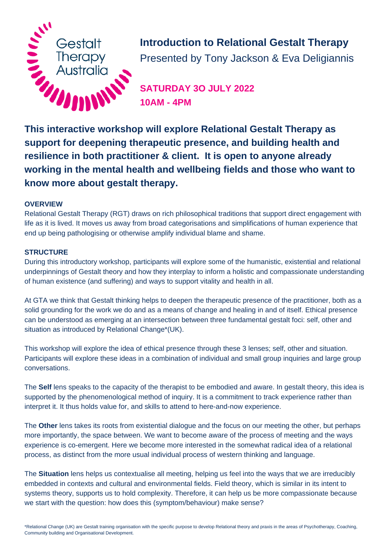

**Introduction to Relational Gestalt Therapy** Presented by Tony Jackson & Eva Deligiannis

**SATURDAY 3O JULY 2022 10AM - 4PM**

**support for deepening therapeutic presence, and building health and resilience in both practitioner & client. It is open to anyone already working in the mental health and wellbeing fields and those who want to know more about gestalt therapy.**

#### **OVERVIEW**

Relational Gestalt Therapy (RGT) draws on rich philosophical traditions that support direct engagement with life as it is lived. It moves us away from broad categorisations and simplifications of human experience that end up being pathologising or otherwise amplify individual blame and shame.

#### **STRUCTURE**

During this introductory workshop, participants will explore some of the humanistic, existential and relational underpinnings of Gestalt theory and how they interplay to inform a holistic and compassionate understanding of human existence (and suffering) and ways to support vitality and health in all.

At GTA we think that Gestalt thinking helps to deepen the therapeutic presence of the practitioner, both as a solid grounding for the work we do and as a means of change and healing in and of itself. Ethical presence can be understood as emerging at an intersection between three fundamental gestalt foci: self, other and situation as introduced by Relational Change\*(UK).

This workshop will explore the idea of ethical presence through these 3 lenses; self, other and situation. Participants will explore these ideas in a combination of individual and small group inquiries and large group conversations.

The **Self** lens speaks to the capacity of the therapist to be embodied and aware. In gestalt theory, this idea is supported by the phenomenological method of inquiry. It is a commitment to track experience rather than interpret it. It thus holds value for, and skills to attend to here-and-now experience.

The **Other** lens takes its roots from existential dialogue and the focus on our meeting the other, but perhaps more importantly, the space between. We want to become aware of the process of meeting and the ways experience is co-emergent. Here we become more interested in the somewhat radical idea of a relational process, as distinct from the more usual individual process of western thinking and language.

The **Situation** lens helps us contextualise all meeting, helping us feel into the ways that we are irreducibly embedded in contexts and cultural and environmental fields. Field theory, which is similar in its intent to systems theory, supports us to hold complexity. Therefore, it can help us be more compassionate because we start with the question: how does this (symptom/behaviour) make sense?